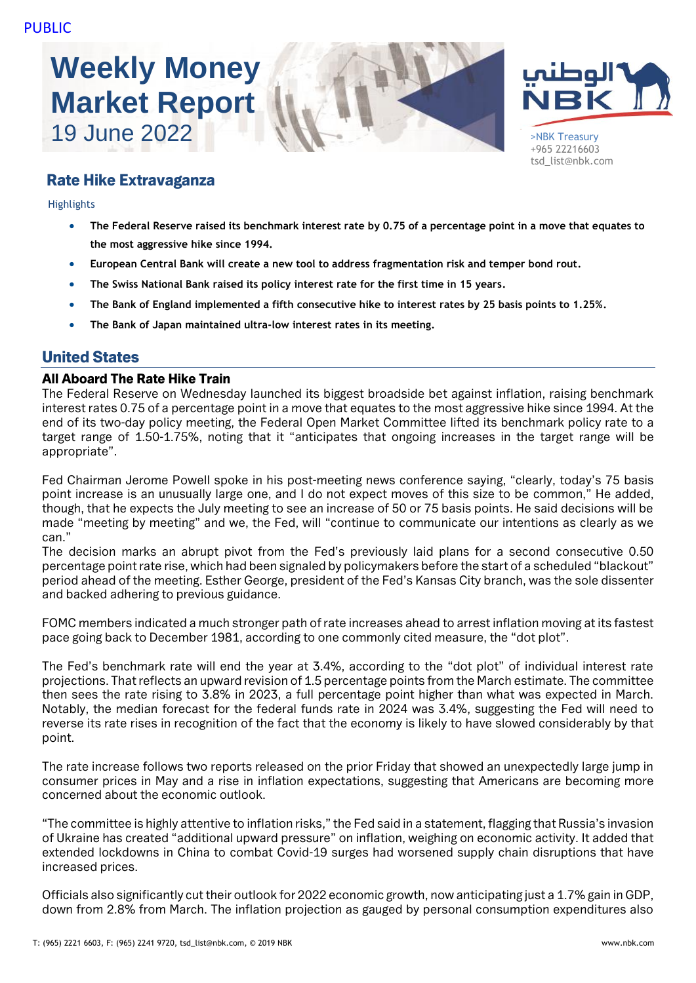# **Weekly Money Market Report**





+965 22216603 tsd\_list@nbk.com

# Rate Hike Extravaganza

Highlights

- **The Federal Reserve raised its benchmark interest rate by 0.75 of a percentage point in a move that equates to the most aggressive hike since 1994.**
- **European Central Bank will create a new tool to address fragmentation risk and temper bond rout.**
- **The Swiss National Bank raised its policy interest rate for the first time in 15 years.**
- **The Bank of England implemented a fifth consecutive hike to interest rates by 25 basis points to 1.25%.**
- **The Bank of Japan maintained ultra-low interest rates in its meeting.**

# United States

#### All Aboard The Rate Hike Train

The Federal Reserve on Wednesday launched its biggest broadside bet against inflation, raising benchmark interest rates 0.75 of a percentage point in a move that equates to the most aggressive hike since 1994. At the end of its two-day policy meeting, the Federal Open Market Committee lifted its benchmark policy rate to a target range of 1.50-1.75%, noting that it "anticipates that ongoing increases in the target range will be appropriate".

Fed Chairman Jerome Powell spoke in his post-meeting news conference saying, "clearly, today's 75 basis point increase is an unusually large one, and I do not expect moves of this size to be common," He added, though, that he expects the July meeting to see an increase of 50 or 75 basis points. He said decisions will be made "meeting by meeting" and we, the Fed, will "continue to communicate our intentions as clearly as we can."

The decision marks an abrupt pivot from the Fed's previously laid plans for a second consecutive 0.50 percentage point rate rise, which had been signaled by policymakers before the start of a scheduled "blackout" period ahead of the meeting. Esther George, president of the Fed's Kansas City branch, was the sole dissenter and backed adhering to previous guidance.

FOMC members indicated a much stronger path of rate increases ahead to arrest inflation moving at its fastest pace going back to December 1981, according to one commonly cited measure, the "dot plot".

The Fed's benchmark rate will end the year at 3.4%, according to the "dot plot" of individual interest rate projections. That reflects an upward revision of 1.5 percentage points from the March estimate. The committee then sees the rate rising to 3.8% in 2023, a full percentage point higher than what was expected in March. Notably, the median forecast for the federal funds rate in 2024 was 3.4%, suggesting the Fed will need to reverse its rate rises in recognition of the fact that the economy is likely to have slowed considerably by that point.

The rate increase follows two reports released on the prior Friday that showed an unexpectedly large jump in consumer prices in May and a rise in inflation expectations, suggesting that Americans are becoming more concerned about the economic outlook.

"The committee is highly attentive to inflation risks," the Fed said in a statement, flagging that Russia's invasion of Ukraine has created "additional upward pressure" on inflation, weighing on economic activity. It added that extended lockdowns in China to combat Covid-19 surges had worsened supply chain disruptions that have increased prices.

Officials also significantly cut their outlook for 2022 economic growth, now anticipating just a 1.7% gain in GDP, down from 2.8% from March. The inflation projection as gauged by personal consumption expenditures also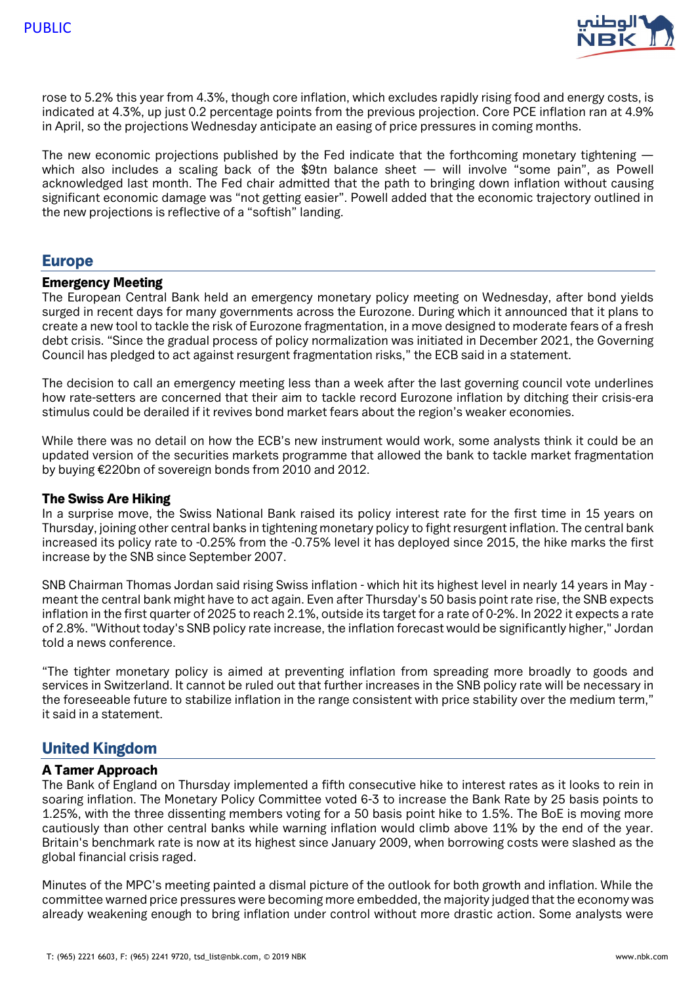

rose to 5.2% this year from 4.3%, though core inflation, which excludes rapidly rising food and energy costs, is indicated at 4.3%, up just 0.2 percentage points from the previous projection. Core PCE inflation ran at 4.9% in April, so the projections Wednesday anticipate an easing of price pressures in coming months.

The new economic projections published by the Fed indicate that the forthcoming monetary tightening which also includes a scaling back of the \$9tn balance sheet — will involve "some pain", as Powell acknowledged last month. The Fed chair admitted that the path to bringing down inflation without causing significant economic damage was "not getting easier". Powell added that the economic trajectory outlined in the new projections is reflective of a "softish" landing.

## Europe

#### Emergency Meeting

The European Central Bank held an emergency monetary policy meeting on Wednesday, after bond yields surged in recent days for many governments across the Eurozone. During which it announced that it plans to create a new tool to tackle the risk of Eurozone fragmentation, in a move designed to moderate fears of a fresh debt crisis. "Since the gradual process of policy normalization was initiated in December 2021, the Governing Council has pledged to act against resurgent fragmentation risks," the ECB said in a statement.

The decision to call an emergency meeting less than a week after the last governing council vote underlines how rate-setters are concerned that their aim to tackle record Eurozone inflation by ditching their crisis-era stimulus could be derailed if it revives bond market fears about the region's weaker economies.

While there was no detail on how the ECB's new instrument would work, some analysts think it could be an updated version of the securities markets programme that allowed the bank to tackle market fragmentation by buying €220bn of sovereign bonds from 2010 and 2012.

#### The Swiss Are Hiking

In a surprise move, the Swiss National Bank raised its policy interest rate for the first time in 15 years on Thursday, joining other central banks in tightening monetary policy to fight resurgent inflation. The central bank increased its policy rate to -0.25% from the -0.75% level it has deployed since 2015, the hike marks the first increase by the SNB since September 2007.

SNB Chairman Thomas Jordan said rising Swiss inflation - which hit its highest level in nearly 14 years in May meant the central bank might have to act again. Even after Thursday's 50 basis point rate rise, the SNB expects inflation in the first quarter of 2025 to reach 2.1%, outside its target for a rate of 0-2%. In 2022 it expects a rate of 2.8%. "Without today's SNB policy rate increase, the inflation forecast would be significantly higher," Jordan told a news conference.

"The tighter monetary policy is aimed at preventing inflation from spreading more broadly to goods and services in Switzerland. It cannot be ruled out that further increases in the SNB policy rate will be necessary in the foreseeable future to stabilize inflation in the range consistent with price stability over the medium term," it said in a statement.

# United Kingdom

#### A Tamer Approach

The Bank of England on Thursday implemented a fifth consecutive hike to interest rates as it looks to rein in soaring inflation. The Monetary Policy Committee voted 6-3 to increase the Bank Rate by 25 basis points to 1.25%, with the three dissenting members voting for a 50 basis point hike to 1.5%. The BoE is moving more cautiously than other central banks while warning inflation would climb above 11% by the end of the year. Britain's benchmark rate is now at its highest since January 2009, when borrowing costs were slashed as the global financial crisis raged.

Minutes of the MPC's meeting painted a dismal picture of the outlook for both growth and inflation. While the committee warned price pressures were becoming more embedded, the majority judged that the economy was already weakening enough to bring inflation under control without more drastic action. Some analysts were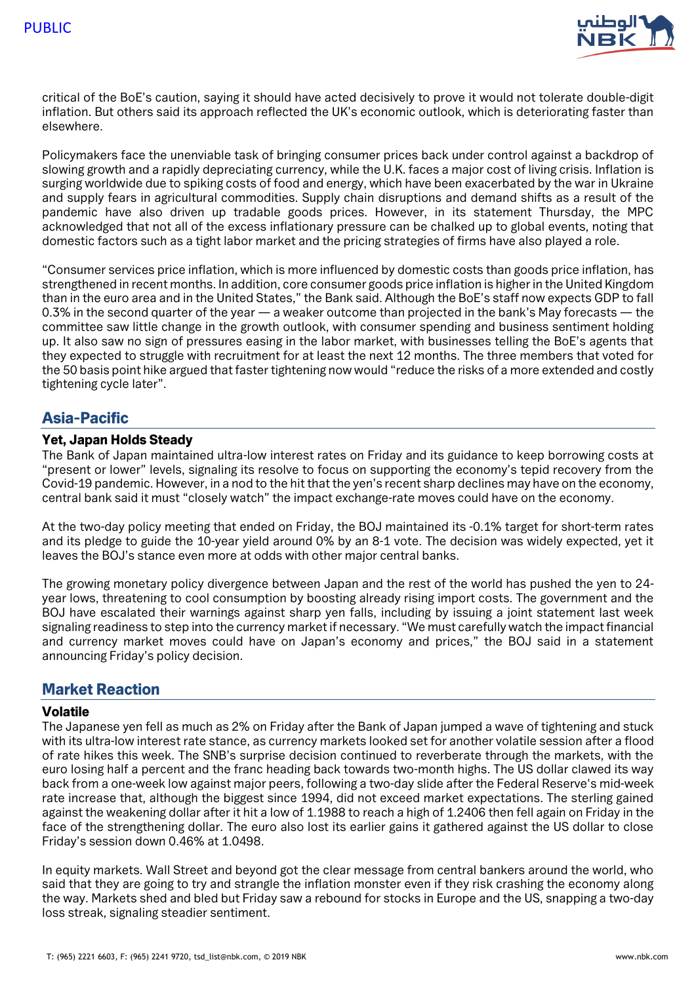

critical of the BoE's caution, saying it should have acted decisively to prove it would not tolerate double-digit inflation. But others said its approach reflected the UK's economic outlook, which is deteriorating faster than elsewhere.

Policymakers face the unenviable task of bringing consumer prices back under control against a backdrop of slowing growth and a rapidly depreciating currency, while the U.K. faces a major cost of living crisis. Inflation is surging worldwide due to spiking costs of food and energy, which have been exacerbated by the war in Ukraine and supply fears in agricultural commodities. Supply chain disruptions and demand shifts as a result of the pandemic have also driven up tradable goods prices. However, in its statement Thursday, the MPC acknowledged that not all of the excess inflationary pressure can be chalked up to global events, noting that domestic factors such as a tight labor market and the pricing strategies of firms have also played a role.

"Consumer services price inflation, which is more influenced by domestic costs than goods price inflation, has strengthened in recent months. In addition, core consumer goods price inflation is higher in the United Kingdom than in the euro area and in the United States," the Bank said. Although the BoE's staff now expects GDP to fall 0.3% in the second quarter of the year — a weaker outcome than projected in the bank's May forecasts — the committee saw little change in the growth outlook, with consumer spending and business sentiment holding up. It also saw no sign of pressures easing in the labor market, with businesses telling the BoE's agents that they expected to struggle with recruitment for at least the next 12 months. The three members that voted for the 50 basis point hike argued that faster tightening now would "reduce the risks of a more extended and costly tightening cycle later".

# Asia-Pacific

#### Yet, Japan Holds Steady

The Bank of Japan maintained ultra-low interest rates on Friday and its guidance to keep borrowing costs at "present or lower" levels, signaling its resolve to focus on supporting the economy's tepid recovery from the Covid-19 pandemic. However, in a nod to the hit that the yen's recent sharp declines may have on the economy, central bank said it must "closely watch" the impact exchange-rate moves could have on the economy.

At the two-day policy meeting that ended on Friday, the BOJ maintained its -0.1% target for short-term rates and its pledge to guide the 10-year yield around 0% by an 8-1 vote. The decision was widely expected, yet it leaves the BOJ's stance even more at odds with other major central banks.

The growing monetary policy divergence between Japan and the rest of the world has pushed the yen to 24 year lows, threatening to cool consumption by boosting already rising import costs. The government and the BOJ have escalated their warnings against sharp yen falls, including by issuing a joint statement last week signaling readiness to step into the currency market if necessary. "We must carefully watch the impact financial and currency market moves could have on Japan's economy and prices," the BOJ said in a statement announcing Friday's policy decision.

# Market Reaction

#### Volatile

The Japanese yen fell as much as 2% on Friday after the Bank of Japan jumped a wave of tightening and stuck with its ultra-low interest rate stance, as currency markets looked set for another volatile session after a flood of rate hikes this week. The SNB's surprise decision continued to reverberate through the markets, with the euro losing half a percent and the franc heading back towards two-month highs. The US dollar clawed its way back from a one-week low against major peers, following a two-day slide after the Federal Reserve's mid-week rate increase that, although the biggest since 1994, did not exceed market expectations. The sterling gained against the weakening dollar after it hit a low of 1.1988 to reach a high of 1.2406 then fell again on Friday in the face of the strengthening dollar. The euro also lost its earlier gains it gathered against the US dollar to close Friday's session down 0.46% at 1.0498.

In equity markets. Wall Street and beyond got the clear message from central bankers around the world, who said that they are going to try and strangle the inflation monster even if they risk crashing the economy along the way. Markets shed and bled but Friday saw a rebound for stocks in Europe and the US, snapping a two-day loss streak, signaling steadier sentiment.